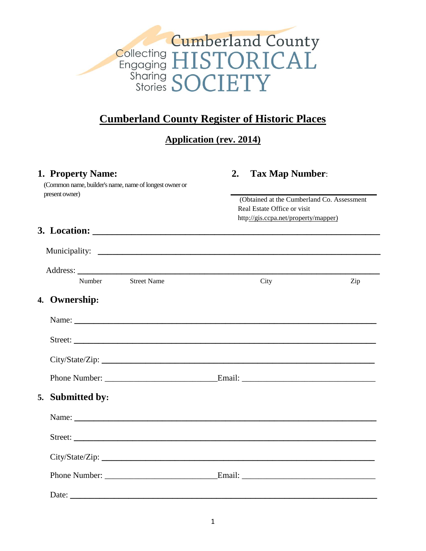

# **Cumberland County Register of Historic Places**

**Application (rev. 2014)**

| 1. Property Name:<br>(Common name, builder's name, name of longest owner or<br>present owner) | 2.<br><b>Tax Map Number:</b><br>(Obtained at the Cumberland Co. Assessment<br>Real Estate Office or visit |     |
|-----------------------------------------------------------------------------------------------|-----------------------------------------------------------------------------------------------------------|-----|
|                                                                                               | http://gis.ccpa.net/property/mapper)                                                                      |     |
|                                                                                               |                                                                                                           |     |
|                                                                                               |                                                                                                           |     |
|                                                                                               |                                                                                                           |     |
| <b>Street Name</b><br>Number                                                                  | City                                                                                                      | Zip |
| 4. Ownership:                                                                                 |                                                                                                           |     |
|                                                                                               |                                                                                                           |     |
|                                                                                               |                                                                                                           |     |
|                                                                                               |                                                                                                           |     |
|                                                                                               |                                                                                                           |     |
| 5. Submitted by:                                                                              |                                                                                                           |     |
|                                                                                               |                                                                                                           |     |
|                                                                                               |                                                                                                           |     |
|                                                                                               |                                                                                                           |     |
|                                                                                               |                                                                                                           |     |
|                                                                                               |                                                                                                           |     |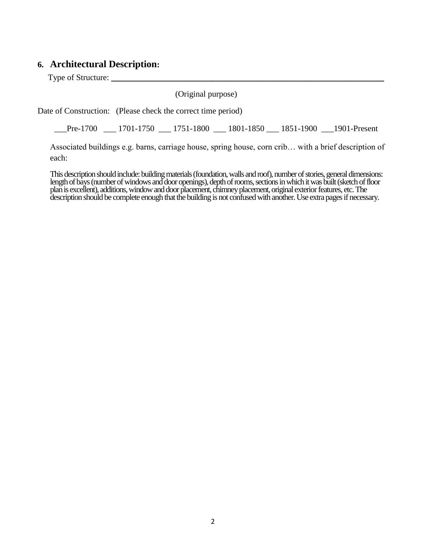## **6. Architectural Description:**

Type of Structure: **\_\_\_\_\_\_\_\_\_\_\_\_\_\_\_\_\_\_\_\_\_\_\_\_\_\_\_\_\_\_\_\_\_\_\_\_\_\_\_\_\_\_\_\_\_\_\_\_\_\_\_\_\_\_\_\_**

(Original purpose)

Date of Construction: (Please check the correct time period)

\_\_\_Pre-1700 \_\_\_ 1701-1750 \_\_\_ 1751-1800 \_\_\_ 1801-1850 \_\_\_ 1851-1900 \_\_\_1901-Present

Associated buildings e.g. barns, carriage house, spring house, corn crib… with a brief description of each:

This description should include: building materials (foundation, walls and roof), number of stories, general dimensions: length of bays (number of windows and door openings), depth of rooms, sections in which it was built (sketch of floor plan is excellent), additions, window and door placement, chimney placement, original exterior features, etc. The description should be complete enough that the building is not confused with another. Use extra pages if necessary.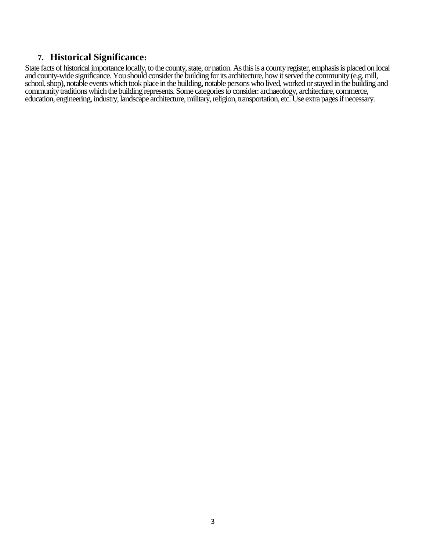#### **7. Historical Significance:**

State facts of historical importance locally, to the county, state, or nation. As this is a county register, emphasis is placed on local and county-wide significance. You should consider the building for its architecture, how it served the community (e.g. mill, school, shop), notable events which took place in the building, notable persons who lived, worked or stayed in the building and community traditions which the building represents. Some categories to consider: archaeology, architecture, commerce, education, engineering, industry, landscape architecture, military, religion, transportation, etc. Use extra pages if necessary.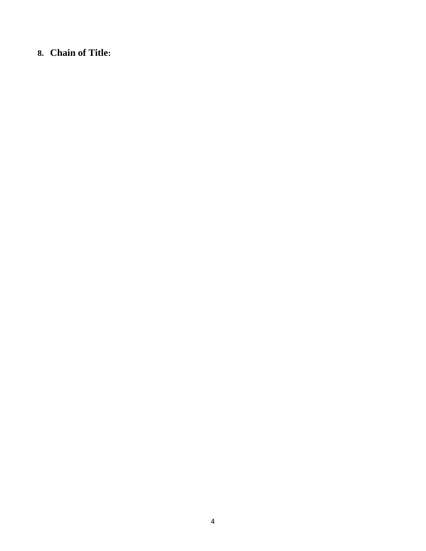# **8. Chain of Title:**